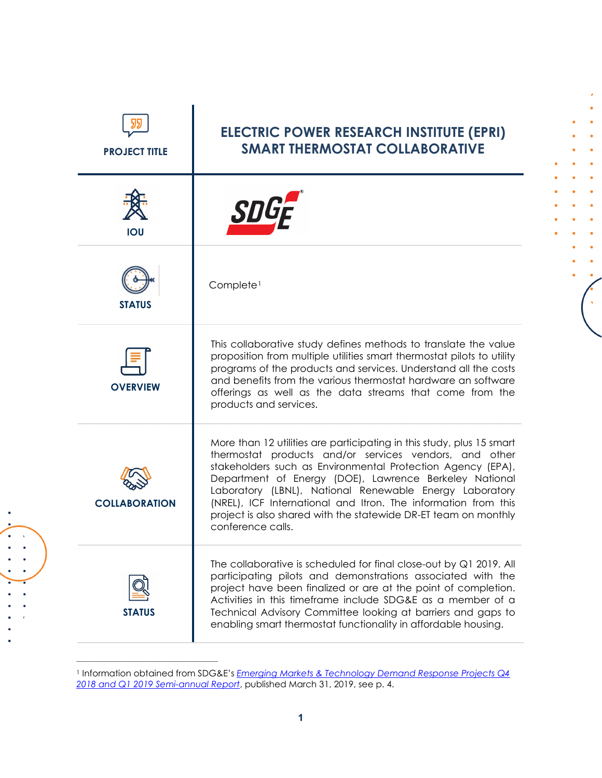| <b>PROJECT TITLE</b> | <b>ELECTRIC POWER RESEARCH INSTITUTE (EPRI)</b><br><b>SMART THERMOSTAT COLLABORATIVE</b>                                                                                                                                                                                                                                                                                                                                                                                      |
|----------------------|-------------------------------------------------------------------------------------------------------------------------------------------------------------------------------------------------------------------------------------------------------------------------------------------------------------------------------------------------------------------------------------------------------------------------------------------------------------------------------|
| <b>IOU</b>           |                                                                                                                                                                                                                                                                                                                                                                                                                                                                               |
| <b>STATUS</b>        | Complete <sup>1</sup>                                                                                                                                                                                                                                                                                                                                                                                                                                                         |
| <b>OVERVIEW</b>      | This collaborative study defines methods to translate the value<br>proposition from multiple utilities smart thermostat pilots to utility<br>programs of the products and services. Understand all the costs<br>and benefits from the various thermostat hardware an software<br>offerings as well as the data streams that come from the<br>products and services.                                                                                                           |
| <b>COLLABORATION</b> | More than 12 utilities are participating in this study, plus 15 smart<br>thermostat products and/or services vendors, and other<br>stakeholders such as Environmental Protection Agency (EPA),<br>Department of Energy (DOE), Lawrence Berkeley National<br>Laboratory (LBNL), National Renewable Energy Laboratory<br>(NREL), ICF International and Itron. The information from this<br>project is also shared with the statewide DR-ET team on monthly<br>conference calls. |
| <b>STATUS</b>        | The collaborative is scheduled for final close-out by Q1 2019. All<br>participating pilots and demonstrations associated with the<br>project have been finalized or are at the point of completion.<br>Activities in this timeframe include SDG&E as a member of a<br>Technical Advisory Committee looking at barriers and gaps to<br>enabling smart thermostat functionality in affordable housing.                                                                          |

<span id="page-0-0"></span><sup>1</sup> Information obtained from SDG&E's *[Emerging Markets & Technology Demand Response Projects Q4](https://www.dret-ca.com/wp-content/uploads/2019/07/SDGE_2018Q4to2019Q1.pdf)  [2018 and Q1 2019](https://www.dret-ca.com/wp-content/uploads/2019/07/SDGE_2018Q4to2019Q1.pdf) Semi-annual Report*, published March 31, 2019, see p. 4.